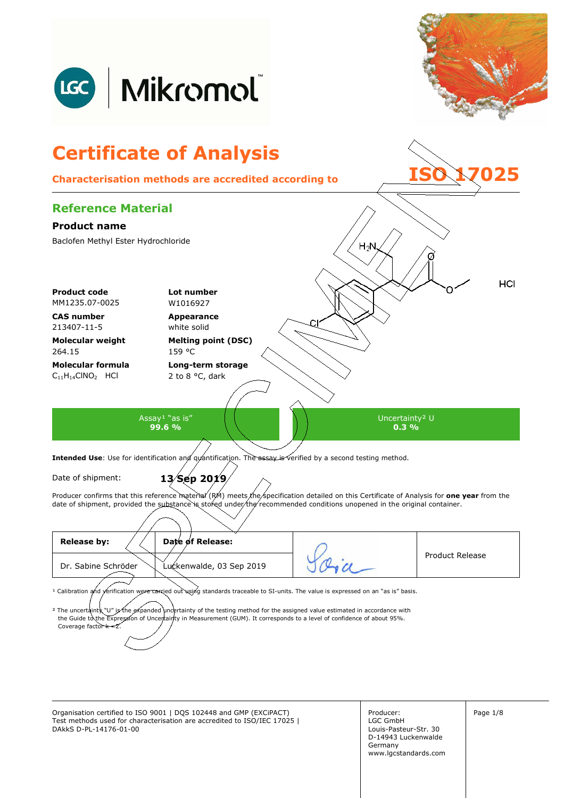

Organisation certified to ISO 9001 | DQS 102448 and GMP (EXCiPACT) Producer: Page 1/8 Test methods used for characterisation are accredited to ISO/IEC 17025 | DAkkS D-PL-14176-01-00

Producer: LGC GmbH Louis-Pasteur-Str. 30 D-14943 Luckenwalde Germany www.lgcstandards.com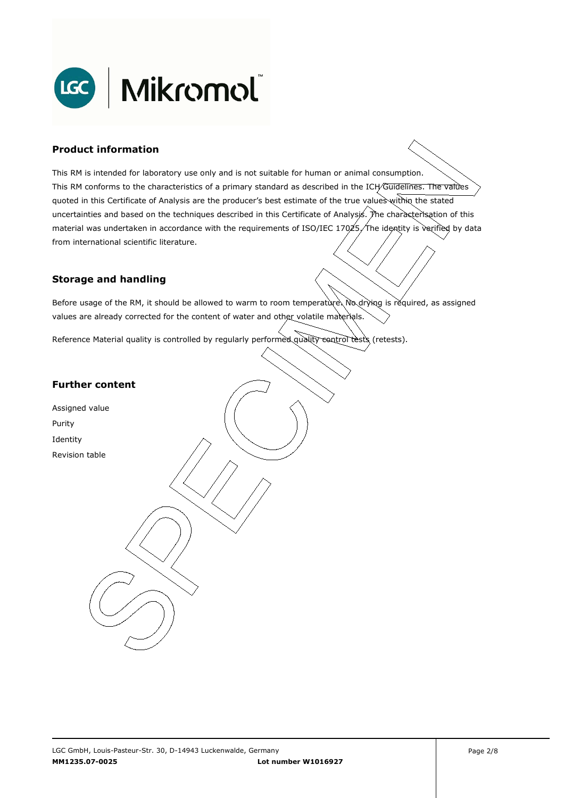

### **Product information**

This RM is intended for laboratory use only and is not suitable for human or animal consumption. This RM conforms to the characteristics of a primary standard as described in the ICH/Guidelines. The values quoted in this Certificate of Analysis are the producer's best estimate of the true values within the stated uncertainties and based on the techniques described in this Certificate of Analysis. The characterisation of this material was undertaken in accordance with the requirements of ISO/IEC 17025, The identity is verified by data . from international scientific literature.

#### **Storage and handling**

Before usage of the RM, it should be allowed to warm to room temperature. No drying is required, as assigned values are already corrected for the content of water and other volatile materials.

Reference Material quality is controlled by regularly performed quality control tests (retests).

### **Further content**

Assigned value Purity Identity Revision table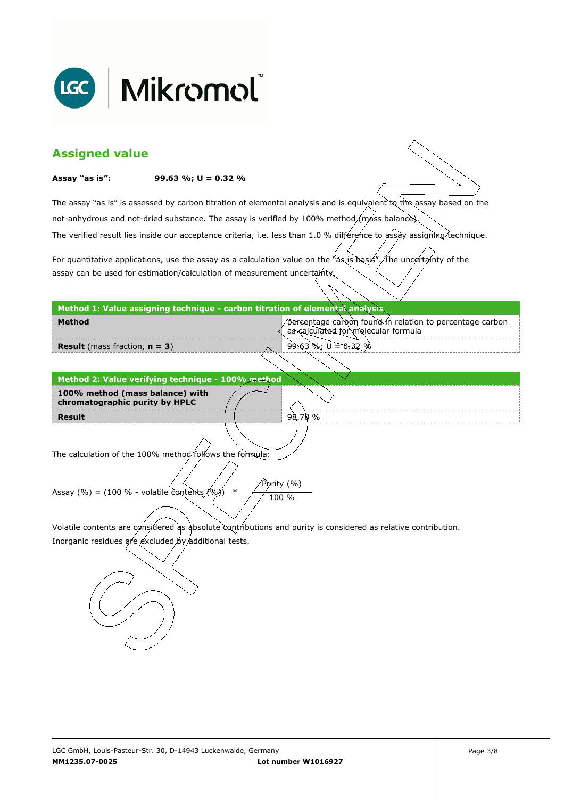

| <b>Assigned value</b>                                                                                                  |                                                                                            |                                                                                                                     |  |  |
|------------------------------------------------------------------------------------------------------------------------|--------------------------------------------------------------------------------------------|---------------------------------------------------------------------------------------------------------------------|--|--|
| Assay "as is":                                                                                                         | 99.63 %; $U = 0.32$ %                                                                      |                                                                                                                     |  |  |
|                                                                                                                        |                                                                                            | The assay "as is" is assessed by carbon titration of elemental analysis and is equivalent to the assay based on the |  |  |
|                                                                                                                        | not-anhydrous and not-dried substance. The assay is verified by 100% method/máss balance). |                                                                                                                     |  |  |
| The verified result lies inside our acceptance criteria, i.e. less than 1.0 % différence to assay assigning technique. |                                                                                            |                                                                                                                     |  |  |
|                                                                                                                        |                                                                                            | For quantitative applications, use the assay as a calculation value on the "as is basis". The uncertainty of the    |  |  |
|                                                                                                                        | assay can be used for estimation/calculation of measurement uncertainty.                   |                                                                                                                     |  |  |
|                                                                                                                        | Method 1: Value assigning technique - carbon titration of elemental analysis               |                                                                                                                     |  |  |
| <b>Method</b>                                                                                                          |                                                                                            | percentage carbon found in relation to percentage carbon<br>as calculated for molecular formula                     |  |  |
| <b>Result</b> (mass fraction, $n = 3$ )                                                                                |                                                                                            | $99.63$ %; $U = 0.32$ %                                                                                             |  |  |
|                                                                                                                        |                                                                                            |                                                                                                                     |  |  |
|                                                                                                                        | Method 2: Value verifying technique - 100% method                                          |                                                                                                                     |  |  |
| 100% method (mass balance) with<br>chromatographic purity by HPLC                                                      |                                                                                            |                                                                                                                     |  |  |
| <b>Result</b>                                                                                                          |                                                                                            | 98.78%                                                                                                              |  |  |
|                                                                                                                        |                                                                                            |                                                                                                                     |  |  |
|                                                                                                                        | The calculation of the 100% method/follows the formula:                                    |                                                                                                                     |  |  |
| Purity (%)                                                                                                             |                                                                                            |                                                                                                                     |  |  |
| $\ast$<br>Assay (%) = (100 % - volatile contents $(%$ )<br>100 %                                                       |                                                                                            |                                                                                                                     |  |  |
|                                                                                                                        |                                                                                            |                                                                                                                     |  |  |
| Volatile contents are considered as absolute contributions and purity is considered as relative contribution.          |                                                                                            |                                                                                                                     |  |  |
| Inorganic residues are excluded by additional tests.                                                                   |                                                                                            |                                                                                                                     |  |  |
|                                                                                                                        |                                                                                            |                                                                                                                     |  |  |
|                                                                                                                        |                                                                                            |                                                                                                                     |  |  |
|                                                                                                                        |                                                                                            |                                                                                                                     |  |  |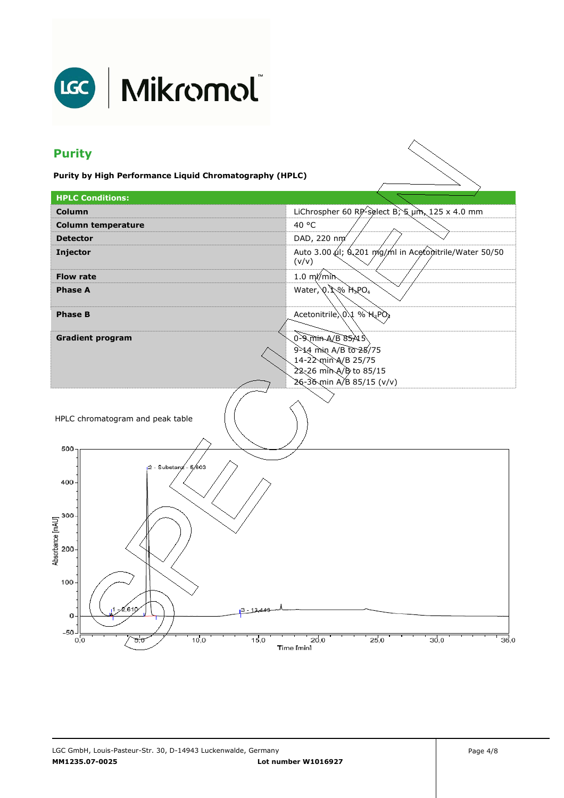

## LGC | Mikromol

## **Purity**

**Purity by High Performance Liquid Chromatography (HPLC)** 

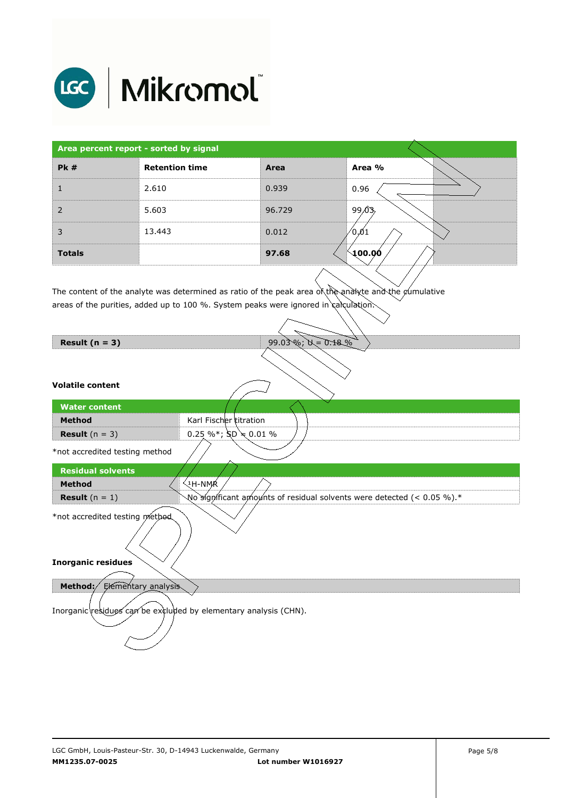

| Area percent report - sorted by signal |                       |        |                     |
|----------------------------------------|-----------------------|--------|---------------------|
| PK#                                    | <b>Retention time</b> | Area   | Area %              |
|                                        | 2.610                 | 0.939  | 0.96                |
| 2                                      | 5.603                 | 96.729 | 99,03               |
| 3                                      | 13.443                | 0.012  | ∕0.∕01              |
| <b>Totals</b>                          |                       | 97.68  | $\backslash$ 100.00 |

The content of the analyte was determined as ratio of the peak area of the analyte and the cumulative  $\overline{\phantom{a}}$ areas of the purities, added up to 100 %. System peaks were ignored in calculation.

| Result $(n = 3)$                                                 | $99.03\%$ ; $U = 0.18\%$                                               |  |  |  |
|------------------------------------------------------------------|------------------------------------------------------------------------|--|--|--|
|                                                                  |                                                                        |  |  |  |
| <b>Volatile content</b>                                          |                                                                        |  |  |  |
| <b>Water content</b>                                             |                                                                        |  |  |  |
| <b>Method</b>                                                    | Karl Fischer titration                                                 |  |  |  |
| <b>Result</b> $(n = 3)$                                          | 0.25 %*; $SD \neq 0.01$ %                                              |  |  |  |
| *not accredited testing method                                   |                                                                        |  |  |  |
| <b>Residual solvents</b>                                         |                                                                        |  |  |  |
| <b>Method</b>                                                    | ્મ-NMୂR                                                                |  |  |  |
| <b>Result</b> $(n = 1)$                                          | No significant amounts of residual solvents were detected (< 0.05 %).* |  |  |  |
| *not accredited testing method                                   |                                                                        |  |  |  |
| <b>Inorganic residues</b>                                        |                                                                        |  |  |  |
| Elementary analysis<br>Method:/                                  |                                                                        |  |  |  |
| Inorganic residues can be excluded by elementary analysis (CHN). |                                                                        |  |  |  |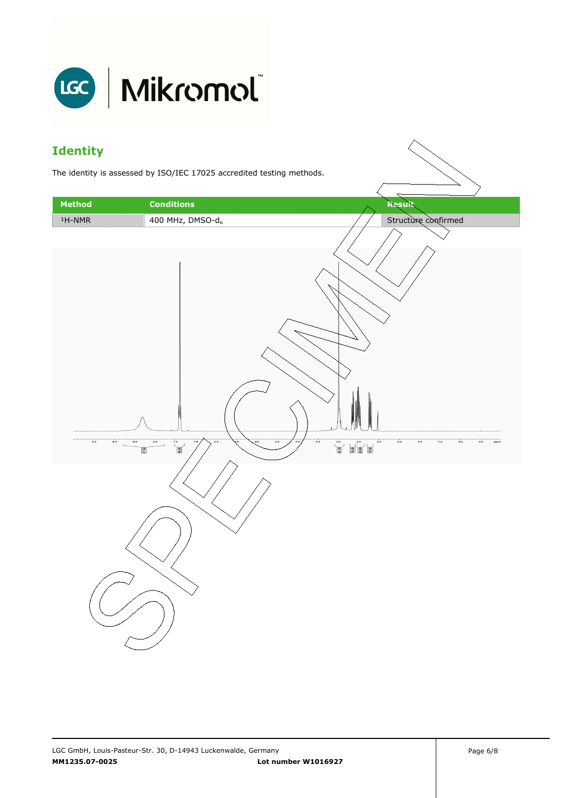

### **Identity**

The identity is assessed by ISO/IEC 17025 accredited testing methods.

| <b>Method</b> | <b>Conditions</b>                                                                                                                                                                                  | <b>Result</b>                                                                                                                                                                                                                                                                                                                                                                                                                                                                                                                                                |
|---------------|----------------------------------------------------------------------------------------------------------------------------------------------------------------------------------------------------|--------------------------------------------------------------------------------------------------------------------------------------------------------------------------------------------------------------------------------------------------------------------------------------------------------------------------------------------------------------------------------------------------------------------------------------------------------------------------------------------------------------------------------------------------------------|
| $1H-NMR$      | 400 MHz, DMSO-d <sub>6</sub>                                                                                                                                                                       | Structure confirmed                                                                                                                                                                                                                                                                                                                                                                                                                                                                                                                                          |
|               |                                                                                                                                                                                                    |                                                                                                                                                                                                                                                                                                                                                                                                                                                                                                                                                              |
| 9.5<br>9.0    | 0.5<br>$\begin{array}{c} \n \stackrel{7.5}{\longrightarrow} \n \stackrel{10}{\longrightarrow} \n \end{array}$<br>0.0<br>7.0<br>$\mathbb{L}_-$<br>$\overline{\phantom{a}}$<br>$\frac{27.68}{27.68}$ | 4.0<br>$2.0$<br>5.0<br>$\overline{\phantom{a}2.5}$<br>$\begin{array}{ c c c c c } \hline . & . & . & . & . \\ \hline . & . & . & . & . \\ \hline . & . & . & . & . \\ \hline . & . & . & . & . \\ \hline . & . & . & . & . \\ \hline . & . & . & . & . \\ \hline . & . & . & . & . \\ \hline . & . & . & . & . \\ \hline . & . & . & . & . \\ \hline . & . & . & . & . \\ \hline . & . & . & . & . \\ \hline . & . & . & . & . \\ \hline . & . & . & . & . \\ \hline . & . & . & . & . \\ \hline . & . & . & . & . \\ \hline . & . & .$<br>1.5<br>1.0<br>0.5 |
|               |                                                                                                                                                                                                    |                                                                                                                                                                                                                                                                                                                                                                                                                                                                                                                                                              |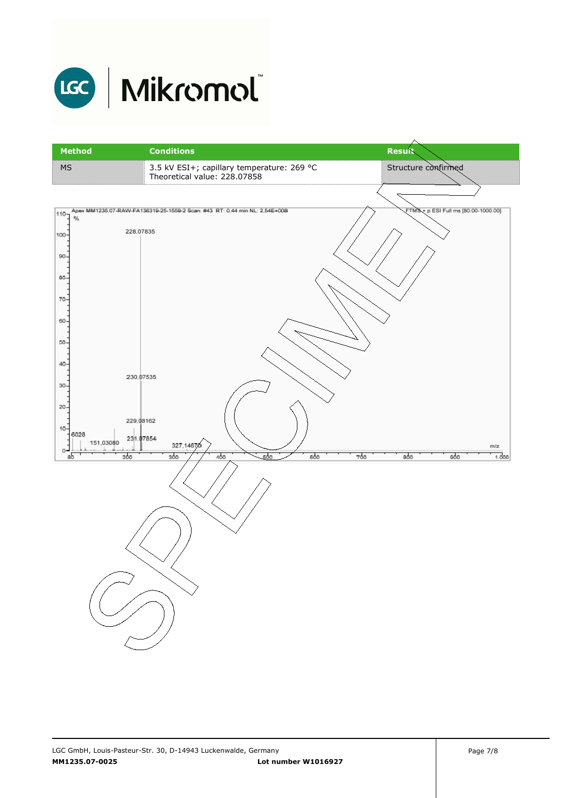

# LGC | Mikromol